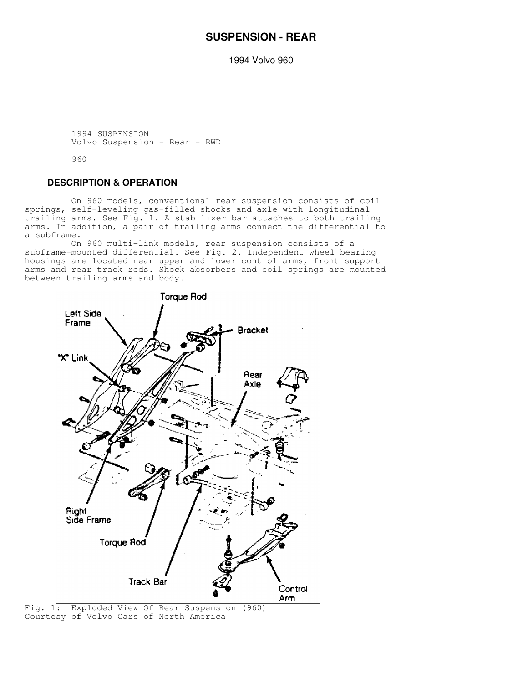# **SUSPENSION - REAR**

1994 Volvo 960

```
 1994 SUSPENSION
Volvo Suspension - Rear - RWD
```
960

# **DESCRIPTION & OPERATION**

 On 960 models, conventional rear suspension consists of coil springs, self-leveling gas-filled shocks and axle with longitudinal trailing arms. See Fig. 1. A stabilizer bar attaches to both trailing arms. In addition, a pair of trailing arms connect the differential to a subframe.

 On 960 multi-link models, rear suspension consists of a subframe-mounted differential. See Fig. 2. Independent wheel bearing housings are located near upper and lower control arms, front support arms and rear track rods. Shock absorbers and coil springs are mounted between trailing arms and body.



Fig. 1: Exploded View Of Rear Suspension (960) Courtesy of Volvo Cars of North America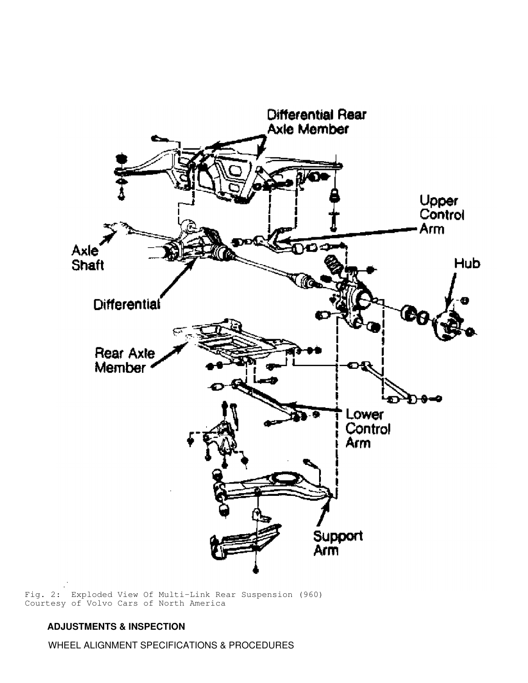

Fig. 2: Exploded View Of Multi-Link Rear Suspension (960) Courtesy of Volvo Cars of North America

# **ADJUSTMENTS & INSPECTION**

WHEEL ALIGNMENT SPECIFICATIONS & PROCEDURES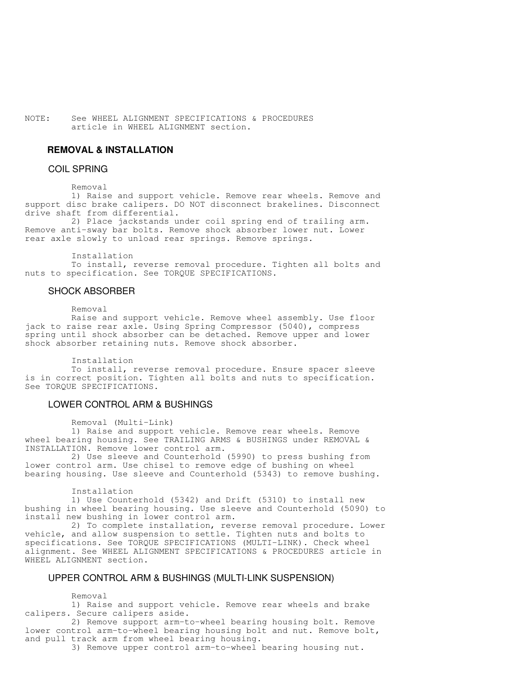NOTE: See WHEEL ALIGNMENT SPECIFICATIONS & PROCEDURES article in WHEEL ALIGNMENT section.

## **REMOVAL & INSTALLATION**

## COIL SPRING

#### Removal

 1) Raise and support vehicle. Remove rear wheels. Remove and support disc brake calipers. DO NOT disconnect brakelines. Disconnect drive shaft from differential.

 2) Place jackstands under coil spring end of trailing arm. Remove anti-sway bar bolts. Remove shock absorber lower nut. Lower rear axle slowly to unload rear springs. Remove springs.

Installation

 To install, reverse removal procedure. Tighten all bolts and nuts to specification. See TORQUE SPECIFICATIONS.

#### SHOCK ABSORBER

Removal

 Raise and support vehicle. Remove wheel assembly. Use floor jack to raise rear axle. Using Spring Compressor (5040), compress spring until shock absorber can be detached. Remove upper and lower shock absorber retaining nuts. Remove shock absorber.

Installation

 To install, reverse removal procedure. Ensure spacer sleeve is in correct position. Tighten all bolts and nuts to specification. See TORQUE SPECIFICATIONS.

### LOWER CONTROL ARM & BUSHINGS

Removal (Multi-Link)

 1) Raise and support vehicle. Remove rear wheels. Remove wheel bearing housing. See TRAILING ARMS & BUSHINGS under REMOVAL & INSTALLATION. Remove lower control arm.

 2) Use sleeve and Counterhold (5990) to press bushing from lower control arm. Use chisel to remove edge of bushing on wheel bearing housing. Use sleeve and Counterhold (5343) to remove bushing.

Installation

 1) Use Counterhold (5342) and Drift (5310) to install new bushing in wheel bearing housing. Use sleeve and Counterhold (5090) to install new bushing in lower control arm.

 2) To complete installation, reverse removal procedure. Lower vehicle, and allow suspension to settle. Tighten nuts and bolts to specifications. See TORQUE SPECIFICATIONS (MULTI-LINK). Check wheel alignment. See WHEEL ALIGNMENT SPECIFICATIONS & PROCEDURES article in WHEEL ALIGNMENT section.

#### UPPER CONTROL ARM & BUSHINGS (MULTI-LINK SUSPENSION)

Removal

 1) Raise and support vehicle. Remove rear wheels and brake calipers. Secure calipers aside.

 2) Remove support arm-to-wheel bearing housing bolt. Remove lower control arm-to-wheel bearing housing bolt and nut. Remove bolt, and pull track arm from wheel bearing housing.

3) Remove upper control arm-to-wheel bearing housing nut.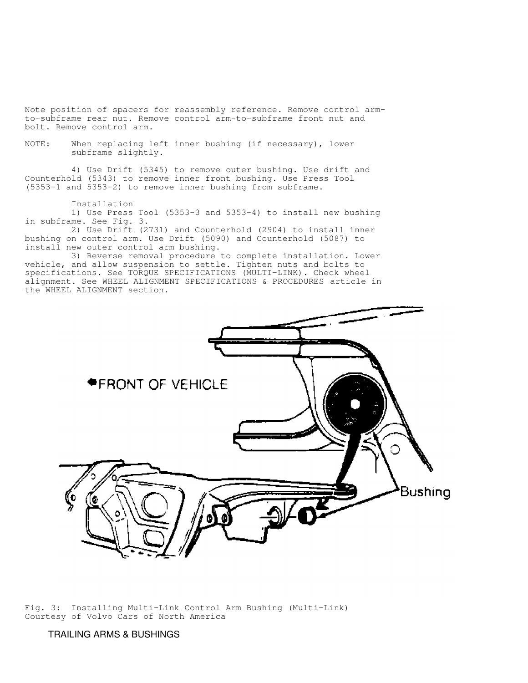Note position of spacers for reassembly reference. Remove control armto-subframe rear nut. Remove control arm-to-subframe front nut and bolt. Remove control arm.

NOTE: When replacing left inner bushing (if necessary), lower subframe slightly.

 4) Use Drift (5345) to remove outer bushing. Use drift and Counterhold (5343) to remove inner front bushing. Use Press Tool (5353-1 and 5353-2) to remove inner bushing from subframe.

 Installation 1) Use Press Tool (5353-3 and 5353-4) to install new bushing in subframe. See Fig. 3.

 2) Use Drift (2731) and Counterhold (2904) to install inner bushing on control arm. Use Drift (5090) and Counterhold (5087) to install new outer control arm bushing.

 3) Reverse removal procedure to complete installation. Lower vehicle, and allow suspension to settle. Tighten nuts and bolts to specifications. See TORQUE SPECIFICATIONS (MULTI-LINK). Check wheel alignment. See WHEEL ALIGNMENT SPECIFICATIONS & PROCEDURES article in the WHEEL ALIGNMENT section.



Fig. 3: Installing Multi-Link Control Arm Bushing (Multi-Link) Courtesy of Volvo Cars of North America

TRAILING ARMS & BUSHINGS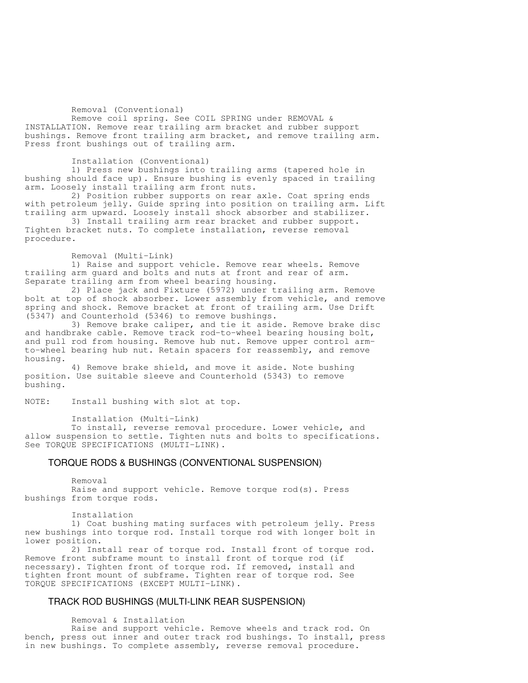#### Removal (Conventional)

 Remove coil spring. See COIL SPRING under REMOVAL & INSTALLATION. Remove rear trailing arm bracket and rubber support bushings. Remove front trailing arm bracket, and remove trailing arm. Press front bushings out of trailing arm.

Installation (Conventional)

 1) Press new bushings into trailing arms (tapered hole in bushing should face up). Ensure bushing is evenly spaced in trailing arm. Loosely install trailing arm front nuts.

 2) Position rubber supports on rear axle. Coat spring ends with petroleum jelly. Guide spring into position on trailing arm. Lift trailing arm upward. Loosely install shock absorber and stabilizer.

 3) Install trailing arm rear bracket and rubber support. Tighten bracket nuts. To complete installation, reverse removal procedure.

Removal (Multi-Link)

 1) Raise and support vehicle. Remove rear wheels. Remove trailing arm guard and bolts and nuts at front and rear of arm. Separate trailing arm from wheel bearing housing.

 2) Place jack and Fixture (5972) under trailing arm. Remove bolt at top of shock absorber. Lower assembly from vehicle, and remove spring and shock. Remove bracket at front of trailing arm. Use Drift (5347) and Counterhold (5346) to remove bushings.

 3) Remove brake caliper, and tie it aside. Remove brake disc and handbrake cable. Remove track rod-to-wheel bearing housing bolt, and pull rod from housing. Remove hub nut. Remove upper control armto-wheel bearing hub nut. Retain spacers for reassembly, and remove housing.

 4) Remove brake shield, and move it aside. Note bushing position. Use suitable sleeve and Counterhold (5343) to remove bushing.

NOTE: Install bushing with slot at top.

Installation (Multi-Link)

 To install, reverse removal procedure. Lower vehicle, and allow suspension to settle. Tighten nuts and bolts to specifications. See TORQUE SPECIFICATIONS (MULTI-LINK).

#### TORQUE RODS & BUSHINGS (CONVENTIONAL SUSPENSION)

 Removal Raise and support vehicle. Remove torque rod(s). Press bushings from torque rods.

Installation

 1) Coat bushing mating surfaces with petroleum jelly. Press new bushings into torque rod. Install torque rod with longer bolt in lower position.

 2) Install rear of torque rod. Install front of torque rod. Remove front subframe mount to install front of torque rod (if necessary). Tighten front of torque rod. If removed, install and tighten front mount of subframe. Tighten rear of torque rod. See TORQUE SPECIFICATIONS (EXCEPT MULTI-LINK).

#### TRACK ROD BUSHINGS (MULTI-LINK REAR SUSPENSION)

Removal & Installation

 Raise and support vehicle. Remove wheels and track rod. On bench, press out inner and outer track rod bushings. To install, press in new bushings. To complete assembly, reverse removal procedure.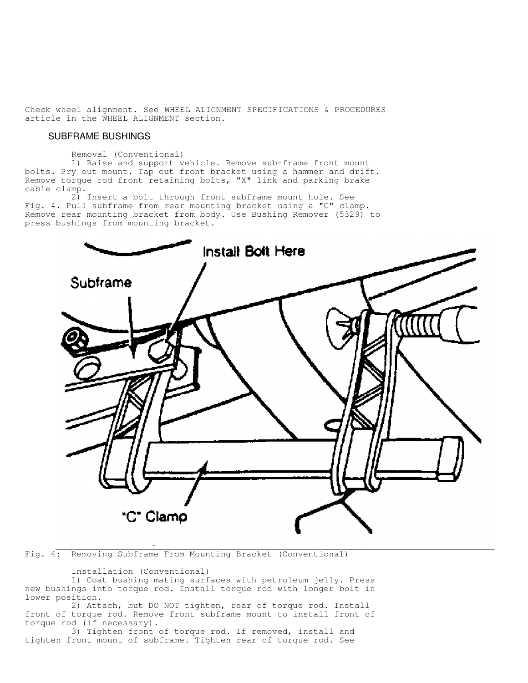Check wheel alignment. See WHEEL ALIGNMENT SPECIFICATIONS & PROCEDURES article in the WHEEL ALIGNMENT section.

#### SUBFRAME BUSHINGS

Removal (Conventional)

 1) Raise and support vehicle. Remove sub-frame front mount bolts. Pry out mount. Tap out front bracket using a hammer and drift. Remove torque rod front retaining bolts, "X" link and parking brake cable clamp.

 2) Insert a bolt through front subframe mount hole. See Fig. 4. Pull subframe from rear mounting bracket using a "C" clamp. Remove rear mounting bracket from body. Use Bushing Remover (5329) to press bushings from mounting bracket.



Fig. 4: Removing Subframe From Mounting Bracket (Conventional)

Installation (Conventional)

 1) Coat bushing mating surfaces with petroleum jelly. Press new bushings into torque rod. Install torque rod with longer bolt in lower position.

 2) Attach, but DO NOT tighten, rear of torque rod. Install front of torque rod. Remove front subframe mount to install front of torque rod (if necessary).

 3) Tighten front of torque rod. If removed, install and tighten front mount of subframe. Tighten rear of torque rod. See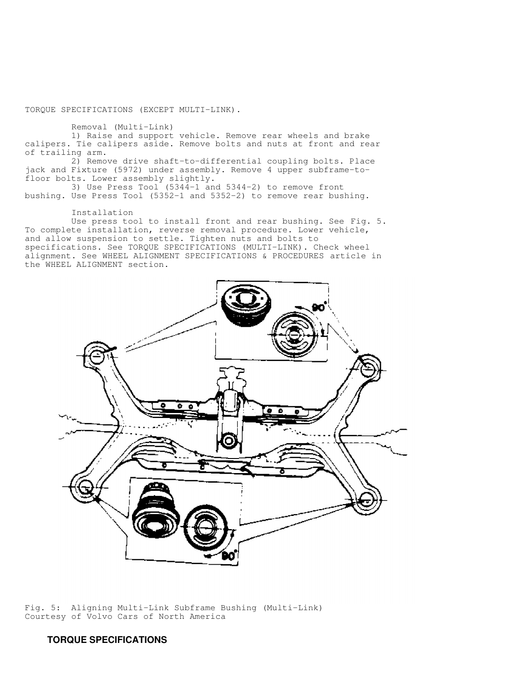TORQUE SPECIFICATIONS (EXCEPT MULTI-LINK).

Removal (Multi-Link)

 1) Raise and support vehicle. Remove rear wheels and brake calipers. Tie calipers aside. Remove bolts and nuts at front and rear of trailing arm.

 2) Remove drive shaft-to-differential coupling bolts. Place jack and Fixture (5972) under assembly. Remove 4 upper subframe-tofloor bolts. Lower assembly slightly.

 3) Use Press Tool (5344-1 and 5344-2) to remove front bushing. Use Press Tool (5352-1 and 5352-2) to remove rear bushing.

Installation

 Use press tool to install front and rear bushing. See Fig. 5. To complete installation, reverse removal procedure. Lower vehicle, and allow suspension to settle. Tighten nuts and bolts to specifications. See TORQUE SPECIFICATIONS (MULTI-LINK). Check wheel alignment. See WHEEL ALIGNMENT SPECIFICATIONS & PROCEDURES article in the WHEEL ALIGNMENT section.



Fig. 5: Aligning Multi-Link Subframe Bushing (Multi-Link) Courtesy of Volvo Cars of North America

# **TORQUE SPECIFICATIONS**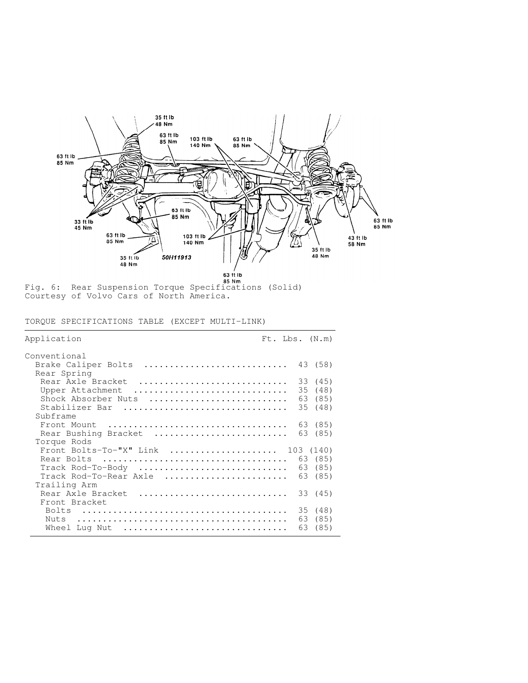

Fig. 6: Rear Suspension Torque Specifications (Solid) Courtesy of Volvo Cars of North America.

TORQUE SPECIFICATIONS TABLE (EXCEPT MULTI-LINK)

| Application                                                                                       |                | $Ft$ . Lbs. $(N.m)$                      |
|---------------------------------------------------------------------------------------------------|----------------|------------------------------------------|
| Conventional                                                                                      |                |                                          |
| Brake Caliper Bolts<br>Rear Spring                                                                |                | 43 (58)                                  |
| Rear Axle Bracket<br>Upper Attachment<br>Shock Absorber Nuts<br>Stabilizer Bar<br>Subframe        |                | 33 (45)<br>35 (48)<br>63 (85)<br>35 (48) |
| Front Mount<br>Rear Bushing Bracket<br>Torque Rods                                                |                | 63 (85)<br>63 (85)                       |
| Front Bolts-To-"X" Link  103 (140)<br>Track Rod-To-Body<br>Track Rod-To-Rear Axle<br>Trailing Arm |                | 63 (85)<br>63 (85)<br>63 (85)            |
| Rear Axle Bracket                                                                                 |                | 33 (45)                                  |
| Front Bracket<br>Nuts<br>Wheel Lug Nut                                                            | 35<br>63<br>63 | (48)<br>(85)<br>(85)                     |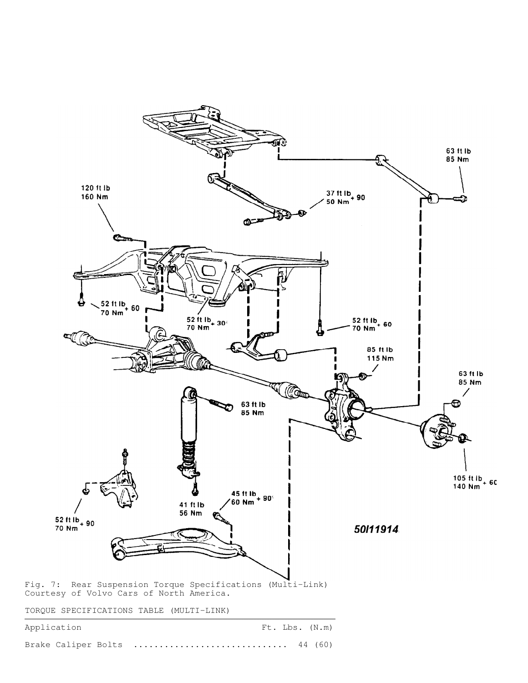